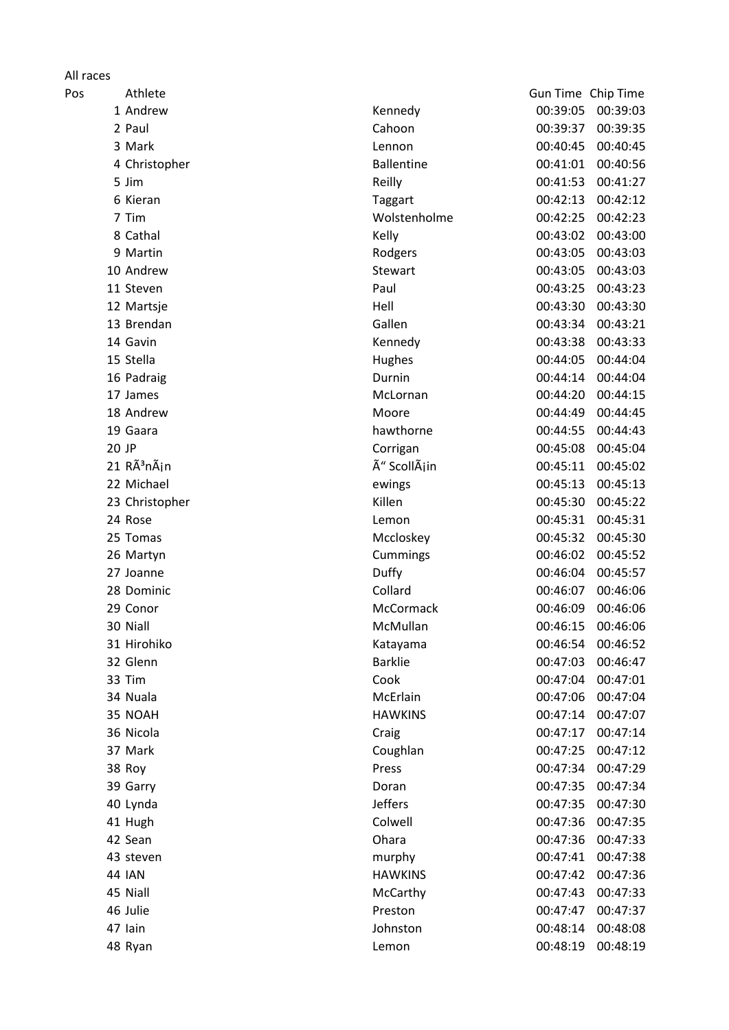| All races |                         |                   |          |                    |
|-----------|-------------------------|-------------------|----------|--------------------|
| Pos       | Athlete                 |                   |          | Gun Time Chip Time |
|           | 1 Andrew                | Kennedy           | 00:39:05 | 00:39:03           |
|           | 2 Paul                  | Cahoon            | 00:39:37 | 00:39:35           |
|           | 3 Mark                  | Lennon            | 00:40:45 | 00:40:45           |
|           | 4 Christopher           | <b>Ballentine</b> | 00:41:01 | 00:40:56           |
|           | 5 Jim                   | Reilly            | 00:41:53 | 00:41:27           |
|           | 6 Kieran                | Taggart           | 00:42:13 | 00:42:12           |
|           | 7 Tim                   | Wolstenholme      | 00:42:25 | 00:42:23           |
|           | 8 Cathal                | Kelly             | 00:43:02 | 00:43:00           |
|           | 9 Martin                | Rodgers           | 00:43:05 | 00:43:03           |
|           | 10 Andrew               | Stewart           | 00:43:05 | 00:43:03           |
|           | 11 Steven               | Paul              | 00:43:25 | 00:43:23           |
|           | 12 Martsje              | Hell              | 00:43:30 | 00:43:30           |
|           | 13 Brendan              | Gallen            | 00:43:34 | 00:43:21           |
|           | 14 Gavin                | Kennedy           | 00:43:38 | 00:43:33           |
|           | 15 Stella               | Hughes            | 00:44:05 | 00:44:04           |
|           | 16 Padraig              | Durnin            | 00:44:14 | 00:44:04           |
|           | 17 James                | McLornan          | 00:44:20 | 00:44:15           |
|           | 18 Andrew               | Moore             | 00:44:49 | 00:44:45           |
|           | 19 Gaara                | hawthorne         | 00:44:55 | 00:44:43           |
|           | 20 JP                   | Corrigan          | 00:45:08 | 00:45:04           |
|           | 21 RÃ <sup>3</sup> nÃin | Ó ScollÃjin       | 00:45:11 | 00:45:02           |
|           | 22 Michael              | ewings            | 00:45:13 | 00:45:13           |
|           | 23 Christopher          | Killen            | 00:45:30 | 00:45:22           |
|           | 24 Rose                 | Lemon             | 00:45:31 | 00:45:31           |
|           | 25 Tomas                | Mccloskey         | 00:45:32 | 00:45:30           |
|           | 26 Martyn               | Cummings          | 00:46:02 | 00:45:52           |
|           | 27 Joanne               | Duffy             | 00:46:04 | 00:45:57           |
|           | 28 Dominic              | Collard           | 00:46:07 | 00:46:06           |
|           | 29 Conor                | <b>McCormack</b>  | 00:46:09 | 00:46:06           |
|           | 30 Niall                | McMullan          | 00:46:15 | 00:46:06           |
|           | 31 Hirohiko             | Katayama          | 00:46:54 | 00:46:52           |
|           | 32 Glenn                | <b>Barklie</b>    | 00:47:03 | 00:46:47           |
|           | 33 Tim                  | Cook              | 00:47:04 | 00:47:01           |
|           | 34 Nuala                | McErlain          | 00:47:06 | 00:47:04           |
|           | 35 NOAH                 | <b>HAWKINS</b>    | 00:47:14 | 00:47:07           |
|           | 36 Nicola               | Craig             | 00:47:17 | 00:47:14           |
|           | 37 Mark                 | Coughlan          | 00:47:25 | 00:47:12           |
|           | 38 Roy                  | Press             | 00:47:34 | 00:47:29           |
|           | 39 Garry                | Doran             | 00:47:35 | 00:47:34           |
|           | 40 Lynda                | <b>Jeffers</b>    | 00:47:35 | 00:47:30           |
|           | 41 Hugh                 | Colwell           | 00:47:36 | 00:47:35           |
|           | 42 Sean                 | Ohara             | 00:47:36 | 00:47:33           |
|           | 43 steven               | murphy            | 00:47:41 | 00:47:38           |
|           | <b>44 IAN</b>           | <b>HAWKINS</b>    | 00:47:42 | 00:47:36           |
|           | 45 Niall                | McCarthy          | 00:47:43 | 00:47:33           |
|           | 46 Julie                | Preston           | 00:47:47 | 00:47:37           |
|           | 47 lain                 | Johnston          | 00:48:14 | 00:48:08           |
|           | 48 Ryan                 | Lemon             | 00:48:19 | 00:48:19           |
|           |                         |                   |          |                    |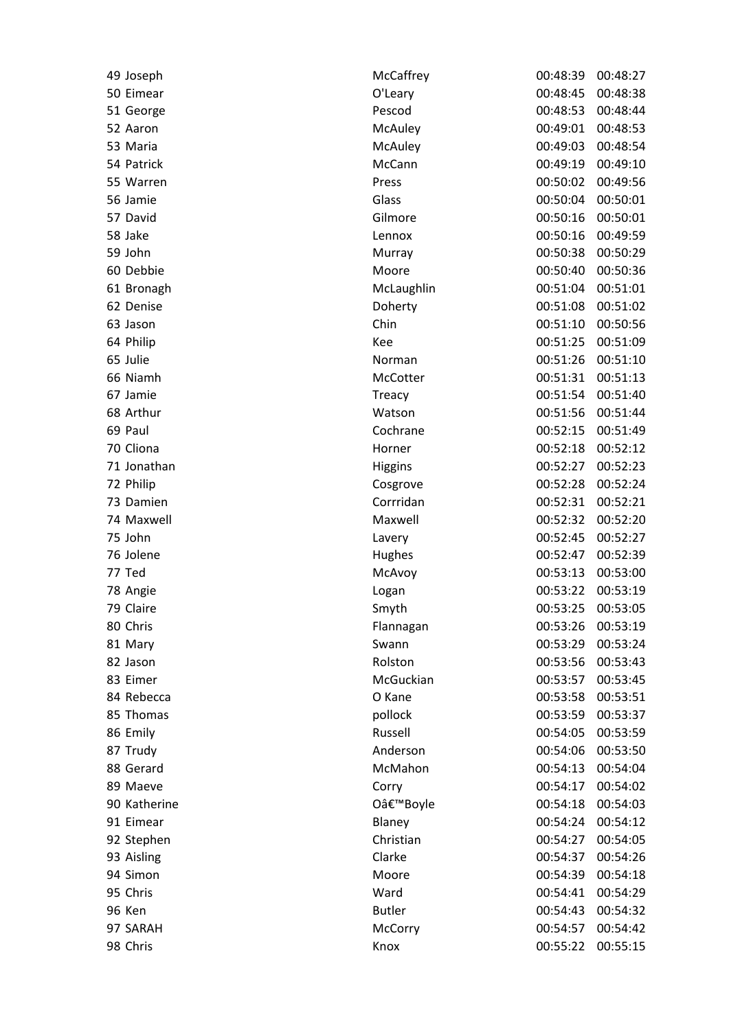| 49 Joseph    | McCaffrey      | 00:48:39 | 00:48:27 |
|--------------|----------------|----------|----------|
| 50 Eimear    | O'Leary        | 00:48:45 | 00:48:38 |
| 51 George    | Pescod         | 00:48:53 | 00:48:44 |
| 52 Aaron     | McAuley        | 00:49:01 | 00:48:53 |
| 53 Maria     | McAuley        | 00:49:03 | 00:48:54 |
| 54 Patrick   | McCann         | 00:49:19 | 00:49:10 |
| 55 Warren    | Press          | 00:50:02 | 00:49:56 |
| 56 Jamie     | Glass          | 00:50:04 | 00:50:01 |
| 57 David     | Gilmore        | 00:50:16 | 00:50:01 |
| 58 Jake      | Lennox         | 00:50:16 | 00:49:59 |
| 59 John      | Murray         | 00:50:38 | 00:50:29 |
| 60 Debbie    | Moore          | 00:50:40 | 00:50:36 |
| 61 Bronagh   | McLaughlin     | 00:51:04 | 00:51:01 |
| 62 Denise    | Doherty        | 00:51:08 | 00:51:02 |
| 63 Jason     | Chin           | 00:51:10 | 00:50:56 |
| 64 Philip    | Kee            | 00:51:25 | 00:51:09 |
| 65 Julie     | Norman         | 00:51:26 | 00:51:10 |
| 66 Niamh     | McCotter       | 00:51:31 | 00:51:13 |
| 67 Jamie     | Treacy         | 00:51:54 | 00:51:40 |
| 68 Arthur    | Watson         | 00:51:56 | 00:51:44 |
| 69 Paul      | Cochrane       | 00:52:15 | 00:51:49 |
| 70 Cliona    | Horner         | 00:52:18 | 00:52:12 |
| 71 Jonathan  | <b>Higgins</b> | 00:52:27 | 00:52:23 |
| 72 Philip    | Cosgrove       | 00:52:28 | 00:52:24 |
| 73 Damien    | Corrridan      | 00:52:31 | 00:52:21 |
| 74 Maxwell   | Maxwell        | 00:52:32 | 00:52:20 |
| 75 John      | Lavery         | 00:52:45 | 00:52:27 |
| 76 Jolene    | Hughes         | 00:52:47 | 00:52:39 |
| 77 Ted       | McAvoy         | 00:53:13 | 00:53:00 |
| 78 Angie     | Logan          | 00:53:22 | 00:53:19 |
| 79 Claire    | Smyth          | 00:53:25 | 00:53:05 |
| 80 Chris     | Flannagan      | 00:53:26 | 00:53:19 |
| 81 Mary      | Swann          | 00:53:29 | 00:53:24 |
| 82 Jason     | Rolston        | 00:53:56 | 00:53:43 |
| 83 Eimer     | McGuckian      | 00:53:57 | 00:53:45 |
| 84 Rebecca   | O Kane         | 00:53:58 | 00:53:51 |
| 85 Thomas    | pollock        | 00:53:59 | 00:53:37 |
| 86 Emily     | Russell        | 00:54:05 | 00:53:59 |
| 87 Trudy     | Anderson       | 00:54:06 | 00:53:50 |
| 88 Gerard    | McMahon        | 00:54:13 | 00:54:04 |
| 89 Maeve     | Corry          | 00:54:17 | 00:54:02 |
| 90 Katherine | O'Boyle        | 00:54:18 | 00:54:03 |
| 91 Eimear    | Blaney         | 00:54:24 | 00:54:12 |
| 92 Stephen   | Christian      | 00:54:27 | 00:54:05 |
| 93 Aisling   | Clarke         | 00:54:37 | 00:54:26 |
| 94 Simon     | Moore          | 00:54:39 | 00:54:18 |
| 95 Chris     | Ward           | 00:54:41 | 00:54:29 |
| 96 Ken       | <b>Butler</b>  | 00:54:43 | 00:54:32 |
| 97 SARAH     | McCorry        | 00:54:57 | 00:54:42 |
| 98 Chris     | Knox           | 00:55:22 | 00:55:15 |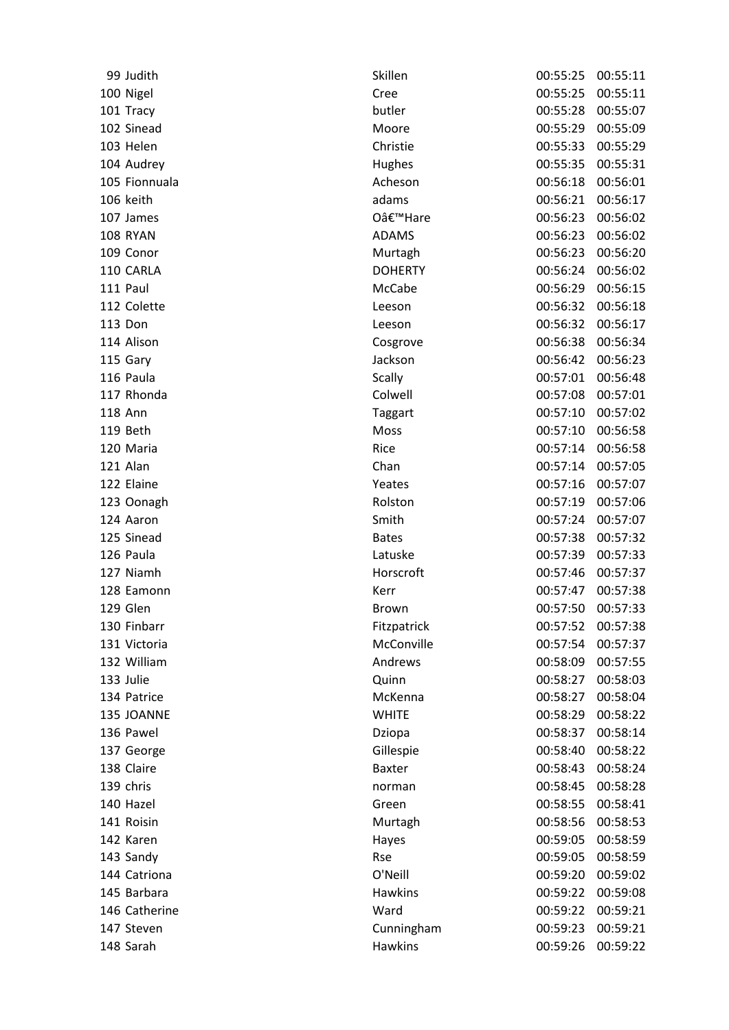| 99 Judith     | Skillen        | 00:55:25 | 00:55:11 |
|---------------|----------------|----------|----------|
| 100 Nigel     | Cree           | 00:55:25 | 00:55:11 |
| 101 Tracy     | butler         | 00:55:28 | 00:55:07 |
| 102 Sinead    | Moore          | 00:55:29 | 00:55:09 |
| 103 Helen     | Christie       | 00:55:33 | 00:55:29 |
| 104 Audrey    | Hughes         | 00:55:35 | 00:55:31 |
| 105 Fionnuala | Acheson        | 00:56:18 | 00:56:01 |
| 106 keith     | adams          | 00:56:21 | 00:56:17 |
| 107 James     | O'Hare         | 00:56:23 | 00:56:02 |
| 108 RYAN      | <b>ADAMS</b>   | 00:56:23 | 00:56:02 |
| 109 Conor     | Murtagh        | 00:56:23 | 00:56:20 |
| 110 CARLA     | <b>DOHERTY</b> | 00:56:24 | 00:56:02 |
| 111 Paul      | McCabe         | 00:56:29 | 00:56:15 |
| 112 Colette   | Leeson         | 00:56:32 | 00:56:18 |
| 113 Don       | Leeson         | 00:56:32 | 00:56:17 |
| 114 Alison    | Cosgrove       | 00:56:38 | 00:56:34 |
| 115 Gary      | Jackson        | 00:56:42 | 00:56:23 |
| 116 Paula     | <b>Scally</b>  | 00:57:01 | 00:56:48 |
| 117 Rhonda    | Colwell        | 00:57:08 | 00:57:01 |
| 118 Ann       | <b>Taggart</b> | 00:57:10 | 00:57:02 |
| 119 Beth      | Moss           | 00:57:10 | 00:56:58 |
| 120 Maria     | Rice           | 00:57:14 | 00:56:58 |
| 121 Alan      | Chan           | 00:57:14 | 00:57:05 |
| 122 Elaine    | Yeates         | 00:57:16 | 00:57:07 |
| 123 Oonagh    | Rolston        | 00:57:19 | 00:57:06 |
| 124 Aaron     | Smith          | 00:57:24 | 00:57:07 |
| 125 Sinead    | <b>Bates</b>   | 00:57:38 | 00:57:32 |
| 126 Paula     | Latuske        | 00:57:39 | 00:57:33 |
| 127 Niamh     | Horscroft      | 00:57:46 | 00:57:37 |
| 128 Eamonn    | Kerr           | 00:57:47 | 00:57:38 |
| 129 Glen      | <b>Brown</b>   | 00:57:50 | 00:57:33 |
| 130 Finbarr   | Fitzpatrick    | 00:57:52 | 00:57:38 |
| 131 Victoria  | McConville     | 00:57:54 | 00:57:37 |
| 132 William   | Andrews        | 00:58:09 | 00:57:55 |
| 133 Julie     | Quinn          | 00:58:27 | 00:58:03 |
| 134 Patrice   | McKenna        | 00:58:27 | 00:58:04 |
| 135 JOANNE    | <b>WHITE</b>   | 00:58:29 | 00:58:22 |
| 136 Pawel     | Dziopa         | 00:58:37 | 00:58:14 |
| 137 George    | Gillespie      | 00:58:40 | 00:58:22 |
| 138 Claire    | <b>Baxter</b>  | 00:58:43 | 00:58:24 |
| 139 chris     | norman         | 00:58:45 | 00:58:28 |
| 140 Hazel     | Green          | 00:58:55 | 00:58:41 |
| 141 Roisin    | Murtagh        | 00:58:56 | 00:58:53 |
| 142 Karen     | Hayes          | 00:59:05 | 00:58:59 |
| 143 Sandy     | Rse            | 00:59:05 | 00:58:59 |
| 144 Catriona  | O'Neill        | 00:59:20 | 00:59:02 |
| 145 Barbara   | <b>Hawkins</b> | 00:59:22 | 00:59:08 |
| 146 Catherine | Ward           | 00:59:22 | 00:59:21 |
| 147 Steven    | Cunningham     | 00:59:23 | 00:59:21 |
| 148 Sarah     | <b>Hawkins</b> | 00:59:26 | 00:59:22 |
|               |                |          |          |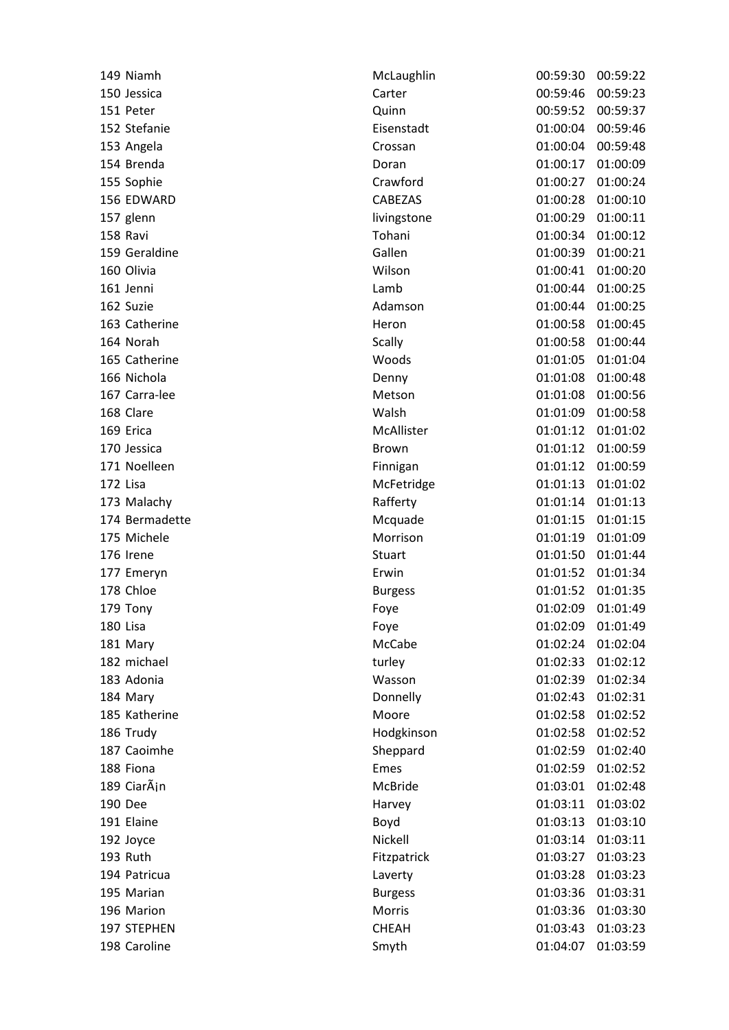| 149 Niamh      | McLaughlin     | 00:59:30 | 00:59:22 |
|----------------|----------------|----------|----------|
| 150 Jessica    | Carter         | 00:59:46 | 00:59:23 |
| 151 Peter      | Quinn          | 00:59:52 | 00:59:37 |
| 152 Stefanie   | Eisenstadt     | 01:00:04 | 00:59:46 |
| 153 Angela     | Crossan        | 01:00:04 | 00:59:48 |
| 154 Brenda     | Doran          | 01:00:17 | 01:00:09 |
| 155 Sophie     | Crawford       | 01:00:27 | 01:00:24 |
| 156 EDWARD     | CABEZAS        | 01:00:28 | 01:00:10 |
| 157 glenn      | livingstone    | 01:00:29 | 01:00:11 |
| 158 Ravi       | Tohani         | 01:00:34 | 01:00:12 |
| 159 Geraldine  | Gallen         | 01:00:39 | 01:00:21 |
| 160 Olivia     | Wilson         | 01:00:41 | 01:00:20 |
| 161 Jenni      | Lamb           | 01:00:44 | 01:00:25 |
| 162 Suzie      | Adamson        | 01:00:44 | 01:00:25 |
| 163 Catherine  | Heron          | 01:00:58 | 01:00:45 |
| 164 Norah      | Scally         | 01:00:58 | 01:00:44 |
| 165 Catherine  | Woods          | 01:01:05 | 01:01:04 |
| 166 Nichola    | Denny          | 01:01:08 | 01:00:48 |
| 167 Carra-lee  | Metson         | 01:01:08 | 01:00:56 |
| 168 Clare      | Walsh          | 01:01:09 | 01:00:58 |
| 169 Erica      | McAllister     | 01:01:12 | 01:01:02 |
| 170 Jessica    | Brown          | 01:01:12 | 01:00:59 |
| 171 Noelleen   | Finnigan       | 01:01:12 | 01:00:59 |
| 172 Lisa       | McFetridge     | 01:01:13 | 01:01:02 |
| 173 Malachy    | Rafferty       | 01:01:14 | 01:01:13 |
| 174 Bermadette | Mcquade        | 01:01:15 | 01:01:15 |
| 175 Michele    | Morrison       | 01:01:19 | 01:01:09 |
| 176 Irene      | Stuart         | 01:01:50 | 01:01:44 |
| 177 Emeryn     | Erwin          | 01:01:52 | 01:01:34 |
| 178 Chloe      | <b>Burgess</b> | 01:01:52 | 01:01:35 |
| 179 Tony       | Foye           | 01:02:09 | 01:01:49 |
| 180 Lisa       | Foye           | 01:02:09 | 01:01:49 |
| 181 Mary       | McCabe         | 01:02:24 | 01:02:04 |
| 182 michael    | turley         | 01:02:33 | 01:02:12 |
| 183 Adonia     | Wasson         | 01:02:39 | 01:02:34 |
| 184 Mary       | Donnelly       | 01:02:43 | 01:02:31 |
| 185 Katherine  | Moore          | 01:02:58 | 01:02:52 |
| 186 Trudy      | Hodgkinson     | 01:02:58 | 01:02:52 |
| 187 Caoimhe    | Sheppard       | 01:02:59 | 01:02:40 |
| 188 Fiona      | Emes           | 01:02:59 | 01:02:52 |
| 189 CiarÃin    | McBride        | 01:03:01 | 01:02:48 |
| 190 Dee        | Harvey         | 01:03:11 | 01:03:02 |
| 191 Elaine     | Boyd           | 01:03:13 | 01:03:10 |
| 192 Joyce      | Nickell        | 01:03:14 | 01:03:11 |
| 193 Ruth       | Fitzpatrick    | 01:03:27 | 01:03:23 |
| 194 Patricua   | Laverty        | 01:03:28 | 01:03:23 |
| 195 Marian     | <b>Burgess</b> | 01:03:36 | 01:03:31 |
| 196 Marion     | Morris         | 01:03:36 | 01:03:30 |
| 197 STEPHEN    | <b>CHEAH</b>   | 01:03:43 | 01:03:23 |
| 198 Caroline   | Smyth          | 01:04:07 | 01:03:59 |
|                |                |          |          |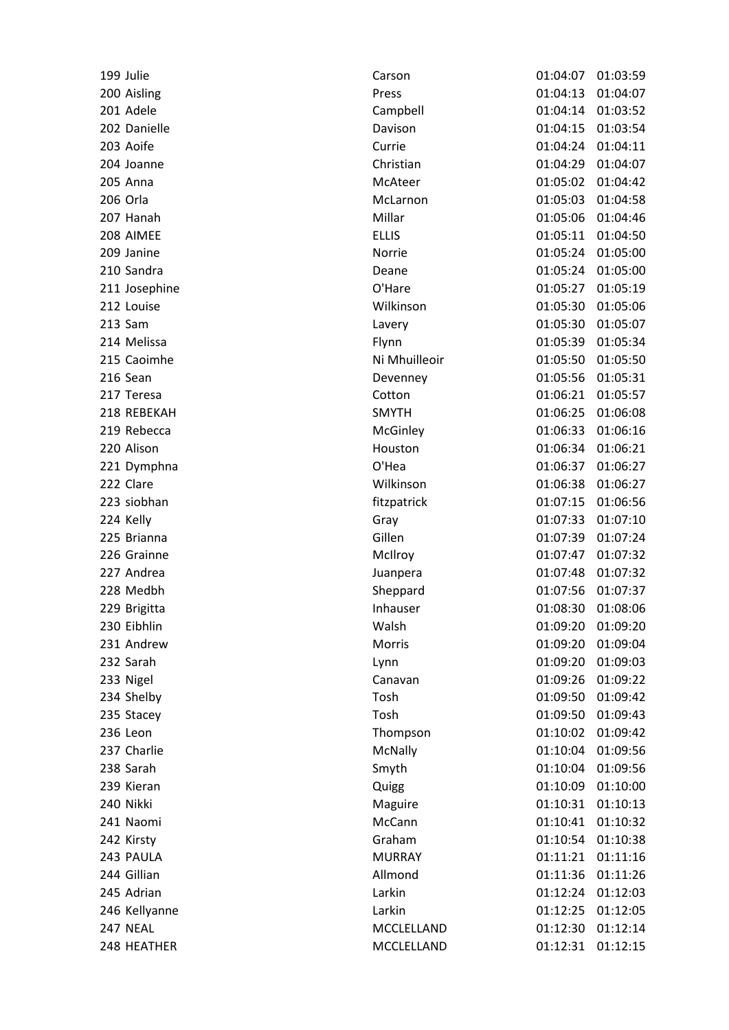| 199 Julie     | Carson        | 01:04:07          | 01:03:59 |
|---------------|---------------|-------------------|----------|
| 200 Aisling   | Press         | 01:04:13          | 01:04:07 |
| 201 Adele     | Campbell      | 01:04:14          | 01:03:52 |
| 202 Danielle  | Davison       | 01:04:15          | 01:03:54 |
| 203 Aoife     | Currie        | 01:04:24          | 01:04:11 |
| 204 Joanne    | Christian     | 01:04:29          | 01:04:07 |
| 205 Anna      | McAteer       | 01:05:02          | 01:04:42 |
| 206 Orla      | McLarnon      | 01:05:03          | 01:04:58 |
| 207 Hanah     | Millar        | 01:05:06          | 01:04:46 |
| 208 AIMEE     | <b>ELLIS</b>  | 01:05:11          | 01:04:50 |
| 209 Janine    | Norrie        | 01:05:24          | 01:05:00 |
| 210 Sandra    | Deane         | 01:05:24          | 01:05:00 |
| 211 Josephine | O'Hare        | 01:05:27          | 01:05:19 |
| 212 Louise    | Wilkinson     | 01:05:30          | 01:05:06 |
| 213 Sam       | Lavery        | 01:05:30          | 01:05:07 |
| 214 Melissa   | Flynn         | 01:05:39          | 01:05:34 |
| 215 Caoimhe   | Ni Mhuilleoir | 01:05:50          | 01:05:50 |
| 216 Sean      | Devenney      | 01:05:56          | 01:05:31 |
| 217 Teresa    | Cotton        | 01:06:21          | 01:05:57 |
| 218 REBEKAH   | <b>SMYTH</b>  | 01:06:25          | 01:06:08 |
| 219 Rebecca   | McGinley      | 01:06:33          | 01:06:16 |
| 220 Alison    | Houston       | 01:06:34          | 01:06:21 |
| 221 Dymphna   | O'Hea         | 01:06:37          | 01:06:27 |
| 222 Clare     | Wilkinson     | 01:06:38          | 01:06:27 |
| 223 siobhan   | fitzpatrick   | 01:07:15          | 01:06:56 |
| 224 Kelly     | Gray          | 01:07:33          | 01:07:10 |
| 225 Brianna   | Gillen        | 01:07:39          | 01:07:24 |
| 226 Grainne   | McIlroy       | 01:07:47          | 01:07:32 |
| 227 Andrea    | Juanpera      | 01:07:48          | 01:07:32 |
| 228 Medbh     | Sheppard      | 01:07:56          | 01:07:37 |
| 229 Brigitta  | Inhauser      | 01:08:30          | 01:08:06 |
| 230 Eibhlin   | Walsh         | 01:09:20          | 01:09:20 |
| 231 Andrew    | <b>Morris</b> | 01:09:20          | 01:09:04 |
| 232 Sarah     | Lynn          | 01:09:20          | 01:09:03 |
| 233 Nigel     | Canavan       | 01:09:26          | 01:09:22 |
| 234 Shelby    | Tosh          | 01:09:50          | 01:09:42 |
| 235 Stacey    | Tosh          | 01:09:50          | 01:09:43 |
| 236 Leon      | Thompson      | 01:10:02          | 01:09:42 |
| 237 Charlie   | McNally       | 01:10:04          | 01:09:56 |
| 238 Sarah     | Smyth         | 01:10:04          | 01:09:56 |
| 239 Kieran    | Quigg         | 01:10:09          | 01:10:00 |
| 240 Nikki     | Maguire       | 01:10:31          | 01:10:13 |
| 241 Naomi     | McCann        | 01:10:41          | 01:10:32 |
| 242 Kirsty    | Graham        | 01:10:54          | 01:10:38 |
| 243 PAULA     | <b>MURRAY</b> | 01:11:21          | 01:11:16 |
| 244 Gillian   | Allmond       | 01:11:36          | 01:11:26 |
| 245 Adrian    | Larkin        | 01:12:24          | 01:12:03 |
| 246 Kellyanne | Larkin        | 01:12:25          | 01:12:05 |
| 247 NEAL      | MCCLELLAND    | 01:12:30          | 01:12:14 |
| 248 HEATHER   | MCCLELLAND    | 01:12:31 01:12:15 |          |